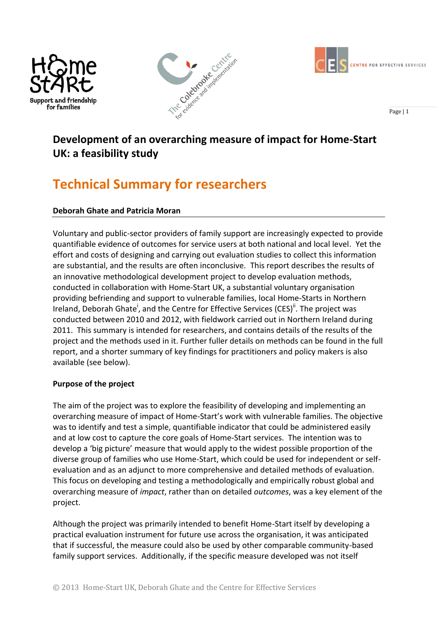





Page | 1

## **Development of an overarching measure of impact for Home-Start UK: a feasibility study**

# **Technical Summary for researchers**

## **Deborah Ghate and Patricia Moran**

Voluntary and public-sector providers of family support are increasingly expected to provide quantifiable evidence of outcomes for service users at both national and local level. Yet the effort and costs of designing and carrying out evaluation studies to collect this information are substantial, and the results are often inconclusive. This report describes the results of an innovative methodological development project to develop evaluation methods, conducted in collaboration with Home-Start UK, a substantial voluntary organisation providing befriending and support to vulnerable families, local Home-Starts in Northern Ireland, Deborah Ghate<sup>i</sup>, and the Centre for Effective Services (CES)<sup>ii</sup>. The project was conducted between 2010 and 2012, with fieldwork carried out in Northern Ireland during 2011. This summary is intended for researchers, and contains details of the results of the project and the methods used in it. Further fuller details on methods can be found in the full report, and a shorter summary of key findings for practitioners and policy makers is also available (see below).

## **Purpose of the project**

The aim of the project was to explore the feasibility of developing and implementing an overarching measure of impact of Home-Start's work with vulnerable families. The objective was to identify and test a simple, quantifiable indicator that could be administered easily and at low cost to capture the core goals of Home-Start services. The intention was to develop a 'big picture' measure that would apply to the widest possible proportion of the diverse group of families who use Home-Start, which could be used for independent or selfevaluation and as an adjunct to more comprehensive and detailed methods of evaluation. This focus on developing and testing a methodologically and empirically robust global and overarching measure of *impact*, rather than on detailed *outcomes*, was a key element of the project.

Although the project was primarily intended to benefit Home-Start itself by developing a practical evaluation instrument for future use across the organisation, it was anticipated that if successful, the measure could also be used by other comparable community-based family support services. Additionally, if the specific measure developed was not itself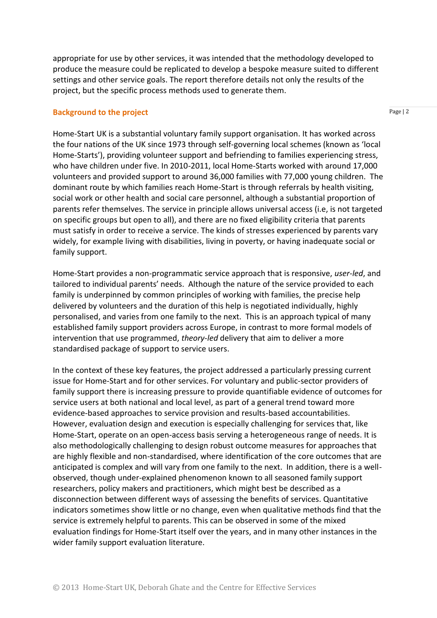appropriate for use by other services, it was intended that the methodology developed to produce the measure could be replicated to develop a bespoke measure suited to different settings and other service goals. The report therefore details not only the results of the project, but the specific process methods used to generate them.

#### **Background to the project**

Page | 2

Home-Start UK is a substantial voluntary family support organisation. It has worked across the four nations of the UK since 1973 through self-governing local schemes (known as 'local Home-Starts'), providing volunteer support and befriending to families experiencing stress, who have children under five. In 2010-2011, local Home-Starts worked with around 17,000 volunteers and provided support to around 36,000 families with 77,000 young children. The dominant route by which families reach Home-Start is through referrals by health visiting, social work or other health and social care personnel, although a substantial proportion of parents refer themselves. The service in principle allows universal access (i.e, is not targeted on specific groups but open to all), and there are no fixed eligibility criteria that parents must satisfy in order to receive a service. The kinds of stresses experienced by parents vary widely, for example living with disabilities, living in poverty, or having inadequate social or family support.

Home-Start provides a non-programmatic service approach that is responsive, *user-led*, and tailored to individual parents' needs. Although the nature of the service provided to each family is underpinned by common principles of working with families, the precise help delivered by volunteers and the duration of this help is negotiated individually, highly personalised, and varies from one family to the next. This is an approach typical of many established family support providers across Europe, in contrast to more formal models of intervention that use programmed, *theory-led* delivery that aim to deliver a more standardised package of support to service users.

In the context of these key features, the project addressed a particularly pressing current issue for Home-Start and for other services. For voluntary and public-sector providers of family support there is increasing pressure to provide quantifiable evidence of outcomes for service users at both national and local level, as part of a general trend toward more evidence-based approaches to service provision and results-based accountabilities. However, evaluation design and execution is especially challenging for services that, like Home-Start, operate on an open-access basis serving a heterogeneous range of needs. It is also methodologically challenging to design robust outcome measures for approaches that are highly flexible and non-standardised, where identification of the core outcomes that are anticipated is complex and will vary from one family to the next. In addition, there is a wellobserved, though under-explained phenomenon known to all seasoned family support researchers, policy makers and practitioners, which might best be described as a disconnection between different ways of assessing the benefits of services. Quantitative indicators sometimes show little or no change, even when qualitative methods find that the service is extremely helpful to parents. This can be observed in some of the mixed evaluation findings for Home-Start itself over the years, and in many other instances in the wider family support evaluation literature.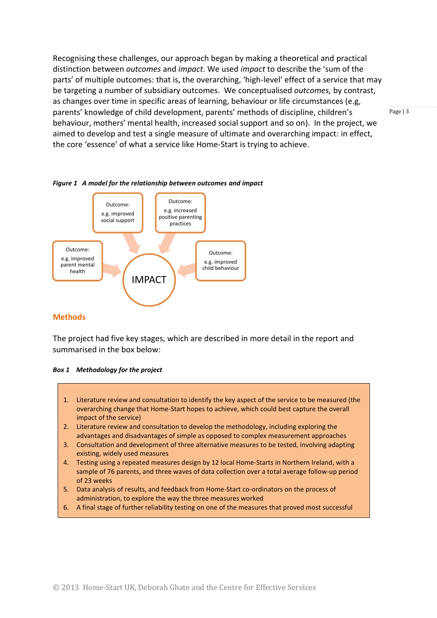Recognising these challenges, our approach began by making a theoretical and practical distinction between *outcomes* and *impact*. We used *impact* to describe the 'sum of the parts' of multiple outcomes: that is, the overarching, 'high-level' effect of a service that may be targeting a number of subsidiary outcomes. We conceptualised *outcomes,* by contrast, as changes over time in specific areas of learning, behaviour or life circumstances (e.g, parents' knowledge of child development, parents' methods of discipline, children's behaviour, mothers' mental health, increased social support and so on). In the project, we aimed to develop and test a single measure of ultimate and overarching impact: in effect, the core 'essence' of what a service like Home-Start is trying to achieve.



#### *Figure 1 A model for the relationship between outcomes and impact*

#### **Methods**

The project had five key stages, which are described in more detail in the report and summarised in the box below:

|  | Box 1 Methodology for the project |  |  |  |
|--|-----------------------------------|--|--|--|
|--|-----------------------------------|--|--|--|

- 1. Literature review and consultation to identify the key aspect of the service to be measured (the overarching change that Home-Start hopes to achieve, which could best capture the overall impact of the service)
- 2. Literature review and consultation to develop the methodology, including exploring the advantages and disadvantages of simple as opposed to complex measurement approaches
- 3. Consultation and development of three alternative measures to be tested, involving adapting existing, widely used measures
- 4. Testing using a repeated measures design by 12 local Home-Starts in Northern Ireland, with a sample of 76 parents, and three waves of data collection over a total average follow-up period of 23 weeks
- 5. Data analysis of results, and feedback from Home-Start co-ordinators on the process of administration, to explore the way the three measures worked
- 6. A final stage of further reliability testing on one of the measures that proved most successful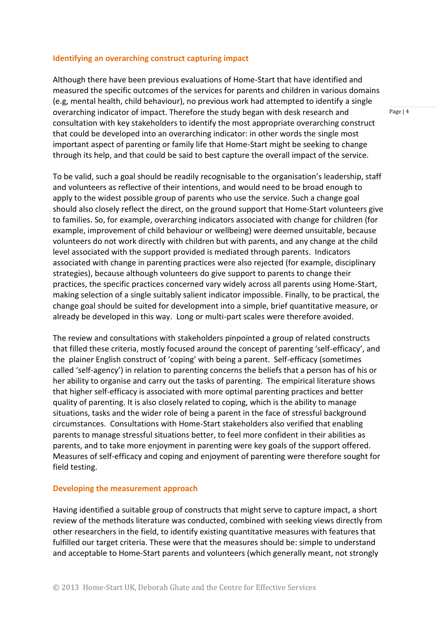#### **Identifying an overarching construct capturing impact**

Although there have been previous evaluations of Home-Start that have identified and measured the specific outcomes of the services for parents and children in various domains (e.g, mental health, child behaviour), no previous work had attempted to identify a single overarching indicator of impact. Therefore the study began with desk research and consultation with key stakeholders to identify the most appropriate overarching construct that could be developed into an overarching indicator: in other words the single most important aspect of parenting or family life that Home-Start might be seeking to change through its help, and that could be said to best capture the overall impact of the service.

To be valid, such a goal should be readily recognisable to the organisation's leadership, staff and volunteers as reflective of their intentions, and would need to be broad enough to apply to the widest possible group of parents who use the service. Such a change goal should also closely reflect the direct, on the ground support that Home-Start volunteers give to families. So, for example, overarching indicators associated with change for children (for example, improvement of child behaviour or wellbeing) were deemed unsuitable, because volunteers do not work directly with children but with parents, and any change at the child level associated with the support provided is mediated through parents. Indicators associated with change in parenting practices were also rejected (for example, disciplinary strategies), because although volunteers do give support to parents to change their practices, the specific practices concerned vary widely across all parents using Home-Start, making selection of a single suitably salient indicator impossible. Finally, to be practical, the change goal should be suited for development into a simple, brief quantitative measure, or already be developed in this way. Long or multi-part scales were therefore avoided.

The review and consultations with stakeholders pinpointed a group of related constructs that filled these criteria, mostly focused around the concept of parenting 'self-efficacy', and the plainer English construct of 'coping' with being a parent. Self-efficacy (sometimes called 'self-agency') in relation to parenting concerns the beliefs that a person has of his or her ability to organise and carry out the tasks of parenting. The empirical literature shows that higher self-efficacy is associated with more optimal parenting practices and better quality of parenting. It is also closely related to coping, which is the ability to manage situations, tasks and the wider role of being a parent in the face of stressful background circumstances. Consultations with Home-Start stakeholders also verified that enabling parents to manage stressful situations better, to feel more confident in their abilities as parents, and to take more enjoyment in parenting were key goals of the support offered. Measures of self-efficacy and coping and enjoyment of parenting were therefore sought for field testing.

#### **Developing the measurement approach**

Having identified a suitable group of constructs that might serve to capture impact, a short review of the methods literature was conducted, combined with seeking views directly from other researchers in the field, to identify existing quantitative measures with features that fulfilled our target criteria. These were that the measures should be: simple to understand and acceptable to Home-Start parents and volunteers (which generally meant, not strongly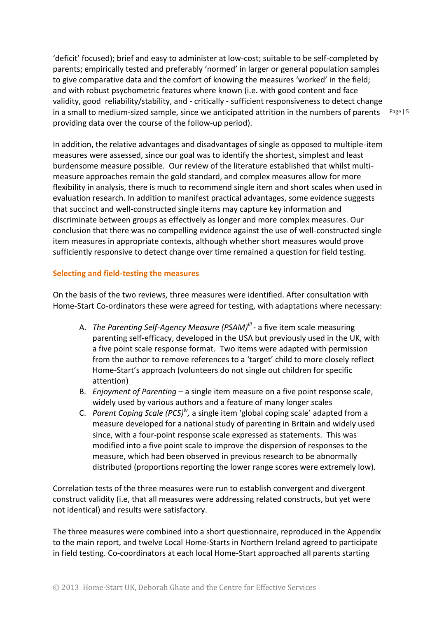'deficit' focused); brief and easy to administer at low-cost; suitable to be self-completed by parents; empirically tested and preferably 'normed' in larger or general population samples to give comparative data and the comfort of knowing the measures 'worked' in the field; and with robust psychometric features where known (i.e. with good content and face validity, good reliability/stability, and - critically - sufficient responsiveness to detect change in a small to medium-sized sample, since we anticipated attrition in the numbers of parents providing data over the course of the follow-up period).

Page | 5

In addition, the relative advantages and disadvantages of single as opposed to multiple-item measures were assessed, since our goal was to identify the shortest, simplest and least burdensome measure possible. Our review of the literature established that whilst multimeasure approaches remain the gold standard, and complex measures allow for more flexibility in analysis, there is much to recommend single item and short scales when used in evaluation research. In addition to manifest practical advantages, some evidence suggests that succinct and well-constructed single items may capture key information and discriminate between groups as effectively as longer and more complex measures. Our conclusion that there was no compelling evidence against the use of well-constructed single item measures in appropriate contexts, although whether short measures would prove sufficiently responsive to detect change over time remained a question for field testing.

#### **Selecting and field-testing the measures**

On the basis of the two reviews, three measures were identified. After consultation with Home-Start Co-ordinators these were agreed for testing, with adaptations where necessary:

- A. The Parenting Self-Agency Measure (PSAM)<sup>III</sup> a five item scale measuring parenting self-efficacy, developed in the USA but previously used in the UK, with a five point scale response format. Two items were adapted with permission from the author to remove references to a 'target' child to more closely reflect Home-Start's approach (volunteers do not single out children for specific attention)
- B. *Enjoyment of Parenting* a single item measure on a five point response scale, widely used by various authors and a feature of many longer scales
- C. *Parent Coping Scale (PCS)iv ,* a single item 'global coping scale' adapted from a measure developed for a national study of parenting in Britain and widely used since, with a four-point response scale expressed as statements. This was modified into a five point scale to improve the dispersion of responses to the measure, which had been observed in previous research to be abnormally distributed (proportions reporting the lower range scores were extremely low).

Correlation tests of the three measures were run to establish convergent and divergent construct validity (i.e, that all measures were addressing related constructs, but yet were not identical) and results were satisfactory.

The three measures were combined into a short questionnaire, reproduced in the Appendix to the main report, and twelve Local Home-Starts in Northern Ireland agreed to participate in field testing. Co-coordinators at each local Home-Start approached all parents starting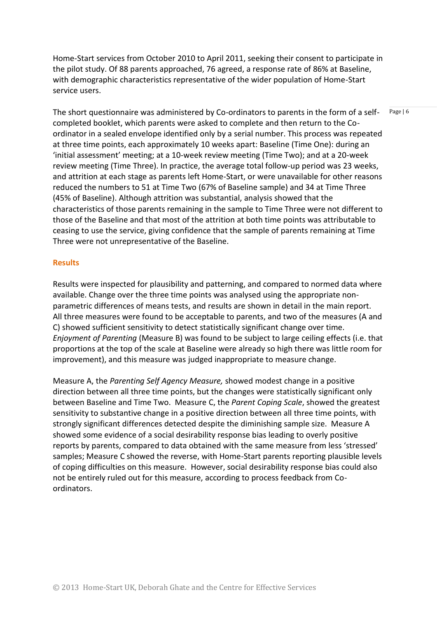Home-Start services from October 2010 to April 2011, seeking their consent to participate in the pilot study. Of 88 parents approached, 76 agreed, a response rate of 86% at Baseline, with demographic characteristics representative of the wider population of Home-Start service users.

The short questionnaire was administered by Co-ordinators to parents in the form of a selfcompleted booklet, which parents were asked to complete and then return to the Coordinator in a sealed envelope identified only by a serial number. This process was repeated at three time points, each approximately 10 weeks apart: Baseline (Time One): during an 'initial assessment' meeting; at a 10-week review meeting (Time Two); and at a 20-week review meeting (Time Three). In practice, the average total follow-up period was 23 weeks, and attrition at each stage as parents left Home-Start, or were unavailable for other reasons reduced the numbers to 51 at Time Two (67% of Baseline sample) and 34 at Time Three (45% of Baseline). Although attrition was substantial, analysis showed that the characteristics of those parents remaining in the sample to Time Three were not different to those of the Baseline and that most of the attrition at both time points was attributable to ceasing to use the service, giving confidence that the sample of parents remaining at Time Three were not unrepresentative of the Baseline.

#### **Results**

Results were inspected for plausibility and patterning, and compared to normed data where available. Change over the three time points was analysed using the appropriate nonparametric differences of means tests, and results are shown in detail in the main report. All three measures were found to be acceptable to parents, and two of the measures (A and C) showed sufficient sensitivity to detect statistically significant change over time. *Enjoyment of Parenting* (Measure B) was found to be subject to large ceiling effects (i.e. that proportions at the top of the scale at Baseline were already so high there was little room for improvement), and this measure was judged inappropriate to measure change.

Measure A, the *Parenting Self Agency Measure,* showed modest change in a positive direction between all three time points, but the changes were statistically significant only between Baseline and Time Two. Measure C, the *Parent Coping Scale*, showed the greatest sensitivity to substantive change in a positive direction between all three time points, with strongly significant differences detected despite the diminishing sample size. Measure A showed some evidence of a social desirability response bias leading to overly positive reports by parents, compared to data obtained with the same measure from less 'stressed' samples; Measure C showed the reverse, with Home-Start parents reporting plausible levels of coping difficulties on this measure. However, social desirability response bias could also not be entirely ruled out for this measure, according to process feedback from Coordinators.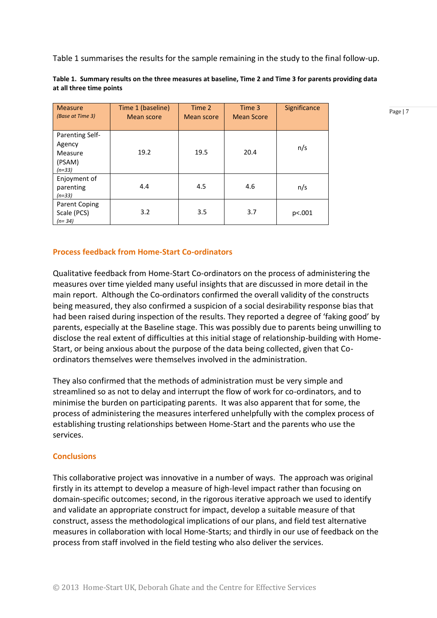Table 1 summarises the results for the sample remaining in the study to the final follow-up.

| <b>Measure</b><br>(Base at Time 3)                         | Time 1 (baseline)<br><b>Mean score</b> | Time 2<br><b>Mean score</b> | Time 3<br><b>Mean Score</b> | Significance |
|------------------------------------------------------------|----------------------------------------|-----------------------------|-----------------------------|--------------|
| Parenting Self-<br>Agency<br>Measure<br>(PSAM)<br>$(n=33)$ | 19.2                                   | 19.5                        | 20.4                        | n/s          |
| Enjoyment of<br>parenting<br>$(n=33)$                      | 4.4                                    | 4.5                         | 4.6                         | n/s          |
| Parent Coping<br>Scale (PCS)<br>$(n=34)$                   | 3.2                                    | 3.5                         | 3.7                         | p<.001       |

**Table 1. Summary results on the three measures at baseline, Time 2 and Time 3 for parents providing data at all three time points**

Page | 7

## **Process feedback from Home-Start Co-ordinators**

Qualitative feedback from Home-Start Co-ordinators on the process of administering the measures over time yielded many useful insights that are discussed in more detail in the main report. Although the Co-ordinators confirmed the overall validity of the constructs being measured, they also confirmed a suspicion of a social desirability response bias that had been raised during inspection of the results. They reported a degree of 'faking good' by parents, especially at the Baseline stage. This was possibly due to parents being unwilling to disclose the real extent of difficulties at this initial stage of relationship-building with Home-Start, or being anxious about the purpose of the data being collected, given that Coordinators themselves were themselves involved in the administration.

They also confirmed that the methods of administration must be very simple and streamlined so as not to delay and interrupt the flow of work for co-ordinators, and to minimise the burden on participating parents. It was also apparent that for some, the process of administering the measures interfered unhelpfully with the complex process of establishing trusting relationships between Home-Start and the parents who use the services.

#### **Conclusions**

This collaborative project was innovative in a number of ways. The approach was original firstly in its attempt to develop a measure of high-level impact rather than focusing on domain-specific outcomes; second, in the rigorous iterative approach we used to identify and validate an appropriate construct for impact, develop a suitable measure of that construct, assess the methodological implications of our plans, and field test alternative measures in collaboration with local Home-Starts; and thirdly in our use of feedback on the process from staff involved in the field testing who also deliver the services.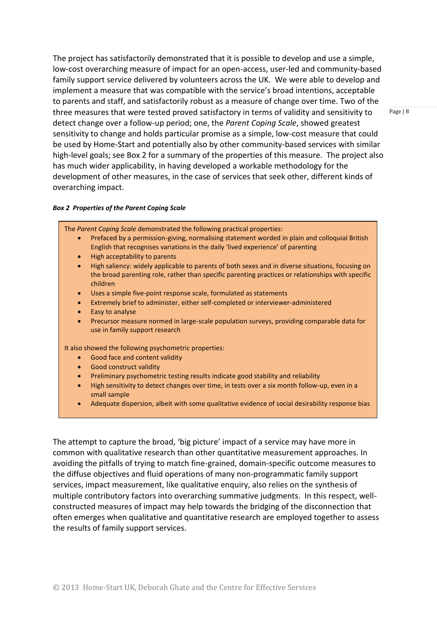The project has satisfactorily demonstrated that it is possible to develop and use a simple, low-cost overarching measure of impact for an open-access, user-led and community-based family support service delivered by volunteers across the UK. We were able to develop and implement a measure that was compatible with the service's broad intentions, acceptable to parents and staff, and satisfactorily robust as a measure of change over time. Two of the three measures that were tested proved satisfactory in terms of validity and sensitivity to detect change over a follow-up period; one, the *Parent Coping Scale*, showed greatest sensitivity to change and holds particular promise as a simple, low-cost measure that could be used by Home-Start and potentially also by other community-based services with similar high-level goals; see Box 2 for a summary of the properties of this measure. The project also has much wider applicability, in having developed a workable methodology for the development of other measures, in the case of services that seek other, different kinds of overarching impact.

#### *Box 2 Properties of the Parent Coping Scale*

The *Parent Coping Scale* demonstrated the following practical properties:

- Prefaced by a permission-giving, normalising statement worded in plain and colloquial British English that recognises variations in the daily 'lived experience' of parenting
- High acceptability to parents
- High saliency: widely applicable to parents of both sexes and in diverse situations, focusing on the broad parenting role, rather than specific parenting practices or relationships with specific children
- Uses a simple five-point response scale, formulated as statements
- Extremely brief to administer, either self-completed or interviewer-administered
- Easy to analyse
- Precursor measure normed in large-scale population surveys, providing comparable data for use in family support research

It also showed the following psychometric properties:

- Good face and content validity
- **•** Good construct validity
- Preliminary psychometric testing results indicate good stability and reliability
- High sensitivity to detect changes over time, in tests over a six month follow-up, even in a small sample
- Adequate dispersion, albeit with some qualitative evidence of social desirability response bias

The attempt to capture the broad, 'big picture' impact of a service may have more in common with qualitative research than other quantitative measurement approaches. In avoiding the pitfalls of trying to match fine-grained, domain-specific outcome measures to the diffuse objectives and fluid operations of many non-programmatic family support services, impact measurement, like qualitative enquiry, also relies on the synthesis of multiple contributory factors into overarching summative judgments. In this respect, wellconstructed measures of impact may help towards the bridging of the disconnection that often emerges when qualitative and quantitative research are employed together to assess the results of family support services.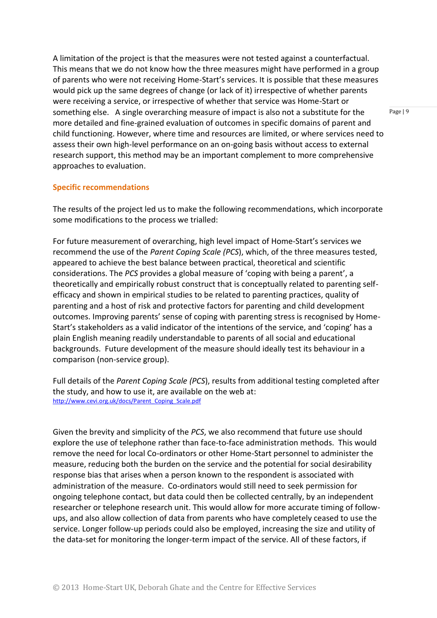A limitation of the project is that the measures were not tested against a counterfactual. This means that we do not know how the three measures might have performed in a group of parents who were not receiving Home-Start's services. It is possible that these measures would pick up the same degrees of change (or lack of it) irrespective of whether parents were receiving a service, or irrespective of whether that service was Home-Start or something else. A single overarching measure of impact is also not a substitute for the more detailed and fine-grained evaluation of outcomes in specific domains of parent and child functioning. However, where time and resources are limited, or where services need to assess their own high-level performance on an on-going basis without access to external research support, this method may be an important complement to more comprehensive approaches to evaluation.

#### **Specific recommendations**

The results of the project led us to make the following recommendations, which incorporate some modifications to the process we trialled:

For future measurement of overarching, high level impact of Home-Start's services we recommend the use of the *Parent Coping Scale (PCS*), which, of the three measures tested, appeared to achieve the best balance between practical, theoretical and scientific considerations. The *PCS* provides a global measure of 'coping with being a parent', a theoretically and empirically robust construct that is conceptually related to parenting selfefficacy and shown in empirical studies to be related to parenting practices, quality of parenting and a host of risk and protective factors for parenting and child development outcomes. Improving parents' sense of coping with parenting stress is recognised by Home-Start's stakeholders as a valid indicator of the intentions of the service, and 'coping' has a plain English meaning readily understandable to parents of all social and educational backgrounds. Future development of the measure should ideally test its behaviour in a comparison (non-service group).

Full details of the *Parent Coping Scale (PCS*), results from additional testing completed after the study, and how to use it, are available on the web at: [http://www.cevi.org.uk/docs/Parent\\_Coping\\_Scale.pdf](http://www.cevi.org.uk/docs/Parent_Coping_Scale.pdf)

Given the brevity and simplicity of the *PCS*, we also recommend that future use should explore the use of telephone rather than face-to-face administration methods. This would remove the need for local Co-ordinators or other Home-Start personnel to administer the measure, reducing both the burden on the service and the potential for social desirability response bias that arises when a person known to the respondent is associated with administration of the measure. Co-ordinators would still need to seek permission for ongoing telephone contact, but data could then be collected centrally, by an independent researcher or telephone research unit. This would allow for more accurate timing of followups, and also allow collection of data from parents who have completely ceased to use the service. Longer follow-up periods could also be employed, increasing the size and utility of the data-set for monitoring the longer-term impact of the service. All of these factors, if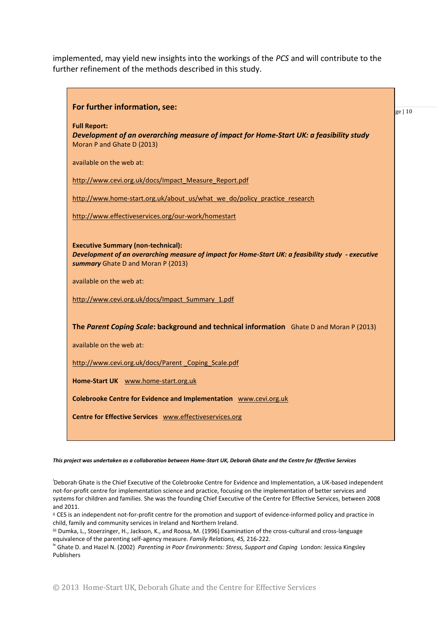implemented, may yield new insights into the workings of the *PCS* and will contribute to the further refinement of the methods described in this study.



*This project was undertaken as a collaboration between Home-Start UK, Deborah Ghate and the Centre for Effective Services*

i Deborah Ghate is the Chief Executive of the Colebrooke Centre for Evidence and Implementation, a UK-based independent not-for-profit centre for implementation science and practice, focusing on the implementation of better services and systems for children and families. She was the founding Chief Executive of the Centre for Effective Services, between 2008 and 2011.

ii CES is an independent not-for-profit centre for the promotion and support of evidence-informed policy and practice in child, family and community services in Ireland and Northern Ireland.

iii Dumka, L., Stoerzinger, H., Jackson, K., and Roosa, M. (1996) Examination of the cross-cultural and cross-language equivalence of the parenting self-agency measure. *Family Relations, 45,* 216-222.

<sup>iv</sup> Ghate D. and Hazel N. (2002) *Parenting in Poor Environments: Stress, Support and Coping* London: Jessica Kingsley Publishers